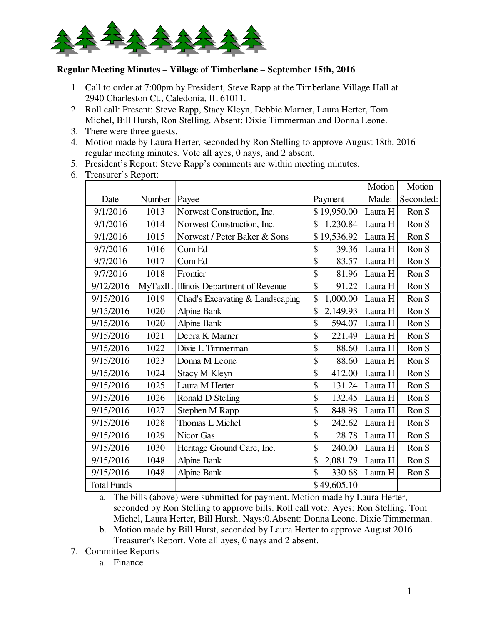

## **Regular Meeting Minutes – Village of Timberlane – September 15th, 2016**

- 1. Call to order at 7:00pm by President, Steve Rapp at the Timberlane Village Hall at 2940 Charleston Ct., Caledonia, IL 61011.
- 2. Roll call: Present: Steve Rapp, Stacy Kleyn, Debbie Marner, Laura Herter, Tom Michel, Bill Hursh, Ron Stelling. Absent: Dixie Timmerman and Donna Leone.
- 3. There were three guests.
- 4. Motion made by Laura Herter, seconded by Ron Stelling to approve August 18th, 2016 regular meeting minutes. Vote all ayes, 0 nays, and 2 absent.
- 5. President's Report: Steve Rapp's comments are within meeting minutes.
- 6. Treasurer's Report:

|                    |         |                                 |                         | Motion  | Motion    |
|--------------------|---------|---------------------------------|-------------------------|---------|-----------|
| Date               | Number  | Payee                           | Payment                 | Made:   | Seconded: |
| 9/1/2016           | 1013    | Norwest Construction, Inc.      | \$19,950.00             | Laura H | Ron S     |
| 9/1/2016           | 1014    | Norwest Construction, Inc.      | \$<br>1,230.84          | Laura H | Ron S     |
| 9/1/2016           | 1015    | Norwest / Peter Baker & Sons    | \$19,536.92             | Laura H | Ron S     |
| 9/7/2016           | 1016    | Com Ed                          | \$<br>39.36             | Laura H | Ron S     |
| 9/7/2016           | 1017    | Com Ed                          | \$<br>83.57             | Laura H | Ron S     |
| 9/7/2016           | 1018    | Frontier                        | \$<br>81.96             | Laura H | Ron S     |
| 9/12/2016          | MyTaxIL | Illinois Department of Revenue  | \$<br>91.22             | Laura H | Ron S     |
| 9/15/2016          | 1019    | Chad's Excavating & Landscaping | \$<br>1,000.00          | Laura H | Ron S     |
| 9/15/2016          | 1020    | <b>Alpine Bank</b>              | \$<br>2,149.93          | Laura H | Ron S     |
| 9/15/2016          | 1020    | <b>Alpine Bank</b>              | \$<br>594.07            | Laura H | Ron S     |
| 9/15/2016          | 1021    | Debra K Marner                  | \$<br>221.49            | Laura H | Ron S     |
| 9/15/2016          | 1022    | Dixie L Timmerman               | \$<br>88.60             | Laura H | Ron S     |
| 9/15/2016          | 1023    | Donna M Leone                   | \$<br>88.60             | Laura H | Ron S     |
| 9/15/2016          | 1024    | Stacy M Kleyn                   | \$<br>412.00            | Laura H | Ron S     |
| 9/15/2016          | 1025    | Laura M Herter                  | \$<br>131.24            | Laura H | Ron S     |
| 9/15/2016          | 1026    | Ronald D Stelling               | \$<br>132.45            | Laura H | Ron S     |
| 9/15/2016          | 1027    | Stephen M Rapp                  | \$<br>848.98            | Laura H | Ron S     |
| 9/15/2016          | 1028    | Thomas L Michel                 | \$<br>242.62            | Laura H | Ron S     |
| 9/15/2016          | 1029    | Nicor Gas                       | \$<br>28.78             | Laura H | Ron S     |
| 9/15/2016          | 1030    | Heritage Ground Care, Inc.      | \$<br>240.00            | Laura H | Ron S     |
| 9/15/2016          | 1048    | <b>Alpine Bank</b>              | \$<br>2,081.79          | Laura H | Ron S     |
| 9/15/2016          | 1048    | <b>Alpine Bank</b>              | $\mathcal{S}$<br>330.68 | Laura H | Ron S     |
| <b>Total Funds</b> |         |                                 | \$49,605.10             |         |           |

a. The bills (above) were submitted for payment. Motion made by Laura Herter, seconded by Ron Stelling to approve bills. Roll call vote: Ayes: Ron Stelling, Tom Michel, Laura Herter, Bill Hursh. Nays:0.Absent: Donna Leone, Dixie Timmerman.

- b. Motion made by Bill Hurst, seconded by Laura Herter to approve August 2016 Treasurer's Report. Vote all ayes, 0 nays and 2 absent.
- 7. Committee Reports
	- a. Finance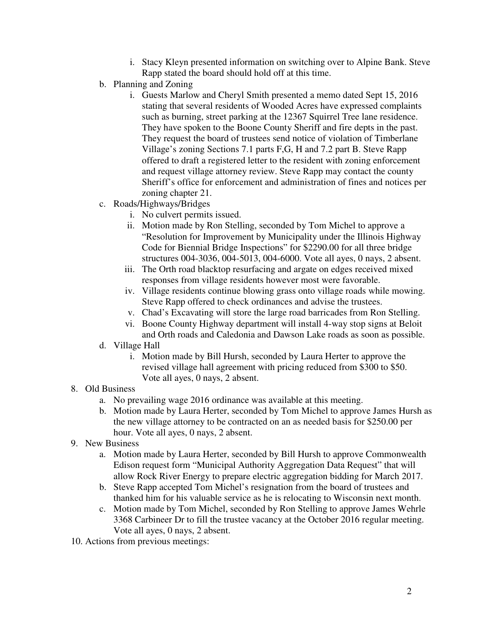- i. Stacy Kleyn presented information on switching over to Alpine Bank. Steve Rapp stated the board should hold off at this time.
- b. Planning and Zoning
	- i. Guests Marlow and Cheryl Smith presented a memo dated Sept 15, 2016 stating that several residents of Wooded Acres have expressed complaints such as burning, street parking at the 12367 Squirrel Tree lane residence. They have spoken to the Boone County Sheriff and fire depts in the past. They request the board of trustees send notice of violation of Timberlane Village's zoning Sections 7.1 parts F,G, H and 7.2 part B. Steve Rapp offered to draft a registered letter to the resident with zoning enforcement and request village attorney review. Steve Rapp may contact the county Sheriff's office for enforcement and administration of fines and notices per zoning chapter 21.
- c. Roads/Highways/Bridges
	- i. No culvert permits issued.
	- ii. Motion made by Ron Stelling, seconded by Tom Michel to approve a "Resolution for Improvement by Municipality under the Illinois Highway Code for Biennial Bridge Inspections" for \$2290.00 for all three bridge structures 004-3036, 004-5013, 004-6000. Vote all ayes, 0 nays, 2 absent.
	- iii. The Orth road blacktop resurfacing and argate on edges received mixed responses from village residents however most were favorable.
	- iv. Village residents continue blowing grass onto village roads while mowing. Steve Rapp offered to check ordinances and advise the trustees.
	- v. Chad's Excavating will store the large road barricades from Ron Stelling.
	- vi. Boone County Highway department will install 4-way stop signs at Beloit and Orth roads and Caledonia and Dawson Lake roads as soon as possible.
- d. Village Hall
	- i. Motion made by Bill Hursh, seconded by Laura Herter to approve the revised village hall agreement with pricing reduced from \$300 to \$50. Vote all ayes, 0 nays, 2 absent.
- 8. Old Business
	- a. No prevailing wage 2016 ordinance was available at this meeting.
	- b. Motion made by Laura Herter, seconded by Tom Michel to approve James Hursh as the new village attorney to be contracted on an as needed basis for \$250.00 per hour. Vote all ayes, 0 nays, 2 absent.
- 9. New Business
	- a. Motion made by Laura Herter, seconded by Bill Hursh to approve Commonwealth Edison request form "Municipal Authority Aggregation Data Request" that will allow Rock River Energy to prepare electric aggregation bidding for March 2017.
	- b. Steve Rapp accepted Tom Michel's resignation from the board of trustees and thanked him for his valuable service as he is relocating to Wisconsin next month.
	- c. Motion made by Tom Michel, seconded by Ron Stelling to approve James Wehrle 3368 Carbineer Dr to fill the trustee vacancy at the October 2016 regular meeting. Vote all ayes, 0 nays, 2 absent.
- 10. Actions from previous meetings: